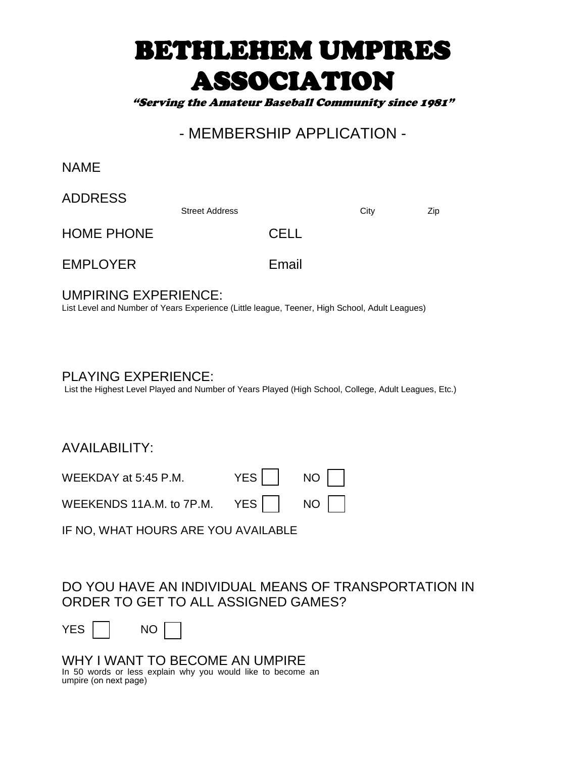# BETHLEHEM UMPIRES ASSOCIATION

"Serving the Amateur Baseball Community since 1981"

## - MEMBERSHIP APPLICATION -

NAME

ADDRESS

Street Address City City

HOME PHONE CELL

EMPLOYER Email

UMPIRING EXPERIENCE:

List Level and Number of Years Experience (Little league, Teener, High School, Adult Leagues)

PLAYING EXPERIENCE:

List the Highest Level Played and Number of Years Played (High School, College, Adult Leagues, Etc.)

AVAILABILITY:

WEEKDAY at 5:45 P.M.  $YES$   $\vert$  NO

| WEEKENDS 11A.M. to 7P.M. |  |  |
|--------------------------|--|--|
|                          |  |  |

IF NO, WHAT HOURS ARE YOU AVAILABLE

#### DO YOU HAVE AN INDIVIDUAL MEANS OF TRANSPORTATION IN ORDER TO GET TO ALL ASSIGNED GAMES?

| – |  | ı∩ |
|---|--|----|
|---|--|----|

WHY I WANT TO BECOME AN UMPIRE In 50 words or less explain why you would like to become an umpire (on next page)